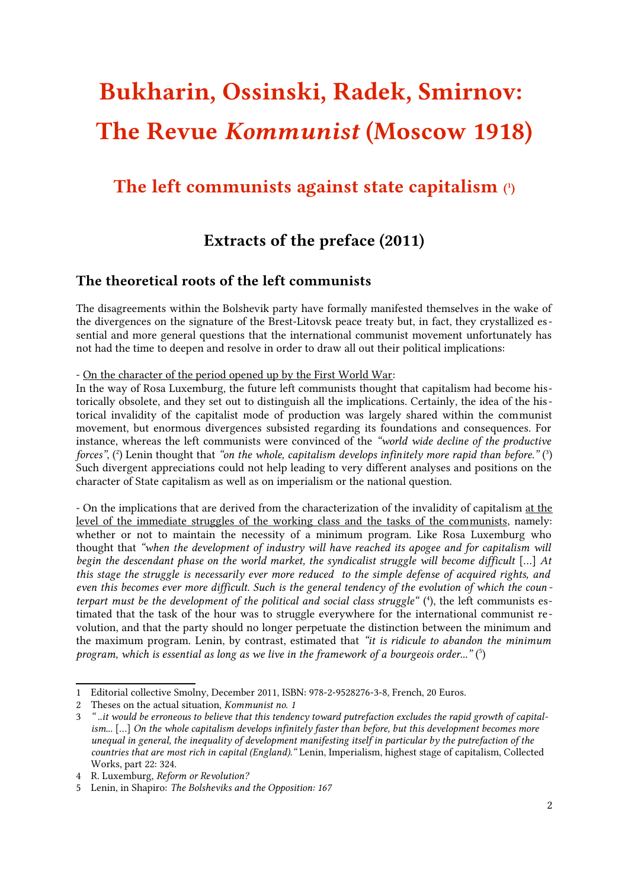# Bukharin, Ossinski, Radek, Smirnov: The Revue Kommunist (Moscow 1918)

## The left communists against state capitalism ([1](#page-0-0))

## Extracts of the preface (2011)

### The theoretical roots of the left communists

The disagreements within the Bolshevik party have formally manifested themselves in the wake of the divergences on the signature of the Brest-Litovsk peace treaty but, in fact, they crystallized essential and more general questions that the international communist movement unfortunately has not had the time to deepen and resolve in order to draw all out their political implications:

- On the character of the period opened up by the First World War:

In the way of Rosa Luxemburg, the future left communists thought that capitalism had become historically obsolete, and they set out to distinguish all the implications. Certainly, the idea of the historical invalidity of the capitalist mode of production was largely shared within the communist movement, but enormous divergences subsisted regarding its foundations and consequences. For instance, whereas the left communists were convinced of the "world wide decline of the productive forces", ([2](#page-0-1)) Lenin thought that "on the whole, capitalism develops infinitely more rapid than before." ([3](#page-0-2)) Such divergent appreciations could not help leading to very different analyses and positions on the character of State capitalism as well as on imperialism or the national question.

- On the implications that are derived from the characterization of the invalidity of capitalism at the level of the immediate struggles of the working class and the tasks of the communists, namely: whether or not to maintain the necessity of a minimum program. Like Rosa Luxemburg who thought that "when the development of industry will have reached its apogee and for capitalism will begin the descendant phase on the world market, the syndicalist struggle will become difficult […] At this stage the struggle is necessarily ever more reduced to the simple defense of acquired rights, and even this becomes ever more difficult. Such is the general tendency of the evolution of which the coun - terpart must be the development of the political and social class struggle" ([4](#page-0-3)), the left communists estimated that the task of the hour was to struggle everywhere for the international communist revolution, and that the party should no longer perpetuate the distinction between the minimum and the maximum program. Lenin, by contrast, estimated that "it is ridicule to abandon the minimum program, which is essential as long as we live in the framework of a bourgeois order..."  $(5)$  $(5)$  $(5)$ 

<span id="page-0-0"></span><sup>1</sup> Editorial collective Smolny, December 2011, ISBN: 978-2-9528276-3-8, French, 20 Euros.

<span id="page-0-1"></span><sup>2</sup> Theses on the actual situation, Kommunist no. 1

<span id="page-0-2"></span><sup>3</sup> " ..it would be erroneous to believe that this tendency toward putrefaction excludes the rapid growth of capitalism... […] On the whole capitalism develops infinitely faster than before, but this development becomes more unequal in general, the inequality of development manifesting itself in particular by the putrefaction of the countries that are most rich in capital (England)." Lenin, Imperialism, highest stage of capitalism, Collected Works, part 22: 324.

<span id="page-0-3"></span><sup>4</sup> R. Luxemburg, Reform or Revolution?

<span id="page-0-4"></span><sup>5</sup> Lenin, in Shapiro: The Bolsheviks and the Opposition: 167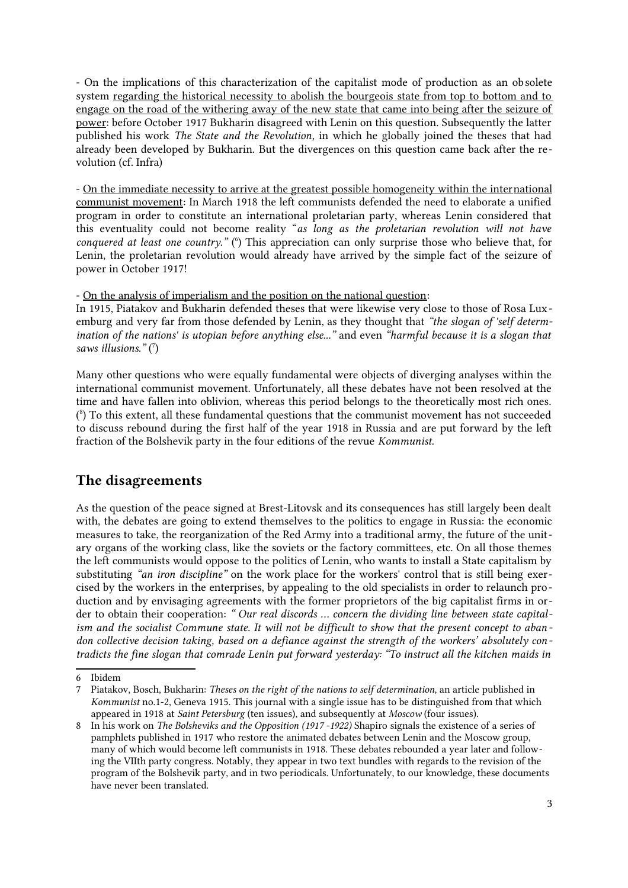- On the implications of this characterization of the capitalist mode of production as an obsolete system regarding the historical necessity to abolish the bourgeois state from top to bottom and to engage on the road of the withering away of the new state that came into being after the seizure of power: before October 1917 Bukharin disagreed with Lenin on this question. Subsequently the latter published his work The State and the Revolution, in which he globally joined the theses that had already been developed by Bukharin. But the divergences on this question came back after the revolution (cf. Infra)

- On the immediate necessity to arrive at the greatest possible homogeneity within the international communist movement: In March 1918 the left communists defended the need to elaborate a unified program in order to constitute an international proletarian party, whereas Lenin considered that this eventuality could not become reality "as long as the proletarian revolution will not have conquered at least one country." (<sup>[6](#page-1-0)</sup>) This appreciation can only surprise those who believe that, for Lenin, the proletarian revolution would already have arrived by the simple fact of the seizure of power in October 1917!

- On the analysis of imperialism and the position on the national question:

In 1915, Piatakov and Bukharin defended theses that were likewise very close to those of Rosa Luxemburg and very far from those defended by Lenin, as they thought that "the slogan of 'self determination of the nations' is utopian before anything else..." and even "harmful because it is a slogan that saws illusions."  $(7)$  $(7)$  $(7)$ 

Many other questions who were equally fundamental were objects of diverging analyses within the international communist movement. Unfortunately, all these debates have not been resolved at the time and have fallen into oblivion, whereas this period belongs to the theoretically most rich ones. ( [8](#page-1-2) ) To this extent, all these fundamental questions that the communist movement has not succeeded to discuss rebound during the first half of the year 1918 in Russia and are put forward by the left fraction of the Bolshevik party in the four editions of the revue Kommunist.

#### The disagreements

As the question of the peace signed at Brest-Litovsk and its consequences has still largely been dealt with, the debates are going to extend themselves to the politics to engage in Russia: the economic measures to take, the reorganization of the Red Army into a traditional army, the future of the unitary organs of the working class, like the soviets or the factory committees, etc. On all those themes the left communists would oppose to the politics of Lenin, who wants to install a State capitalism by substituting "an iron discipline" on the work place for the workers' control that is still being exercised by the workers in the enterprises, by appealing to the old specialists in order to relaunch production and by envisaging agreements with the former proprietors of the big capitalist firms in order to obtain their cooperation: " Our real discords … concern the dividing line between state capitalism and the socialist Commune state. It will not be difficult to show that the present concept to abandon collective decision taking, based on a defiance against the strength of the workers' absolutely contradicts the fine slogan that comrade Lenin put forward yesterday: "To instruct all the kitchen maids in

<span id="page-1-0"></span><sup>6</sup> Ibidem

<span id="page-1-1"></span><sup>7</sup> Piatakov, Bosch, Bukharin: Theses on the right of the nations to self determination, an article published in Kommunist no.1-2, Geneva 1915. This journal with a single issue has to be distinguished from that which appeared in 1918 at Saint Petersburg (ten issues), and subsequently at Moscow (four issues).

<span id="page-1-2"></span><sup>8</sup> In his work on The Bolsheviks and the Opposition (1917 -1922) Shapiro signals the existence of a series of pamphlets published in 1917 who restore the animated debates between Lenin and the Moscow group, many of which would become left communists in 1918. These debates rebounded a year later and following the VIIth party congress. Notably, they appear in two text bundles with regards to the revision of the program of the Bolshevik party, and in two periodicals. Unfortunately, to our knowledge, these documents have never been translated.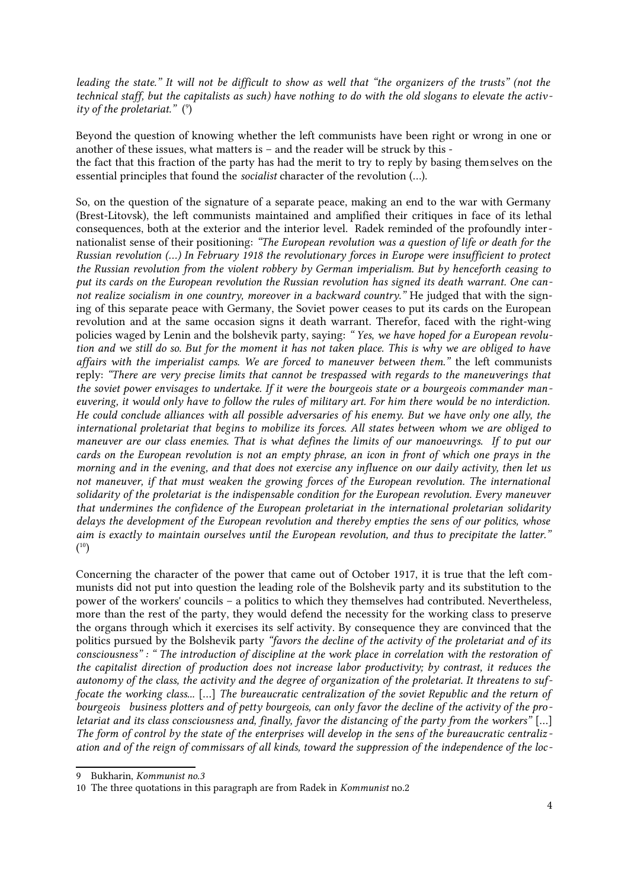leading the state." It will not be difficult to show as well that "the organizers of the trusts" (not the technical staff, but the capitalists as such) have nothing to do with the old slogans to elevate the activ ity of the proletariat."  $(°)$ 

Beyond the question of knowing whether the left communists have been right or wrong in one or another of these issues, what matters is – and the reader will be struck by this the fact that this fraction of the party has had the merit to try to reply by basing themselves on the essential principles that found the socialist character of the revolution (…).

So, on the question of the signature of a separate peace, making an end to the war with Germany (Brest-Litovsk), the left communists maintained and amplified their critiques in face of its lethal consequences, both at the exterior and the interior level. Radek reminded of the profoundly internationalist sense of their positioning: "The European revolution was a question of life or death for the Russian revolution (…) In February 1918 the revolutionary forces in Europe were insufficient to protect the Russian revolution from the violent robbery by German imperialism. But by henceforth ceasing to put its cards on the European revolution the Russian revolution has signed its death warrant. One cannot realize socialism in one country, moreover in a backward country." He judged that with the signing of this separate peace with Germany, the Soviet power ceases to put its cards on the European revolution and at the same occasion signs it death warrant. Therefor, faced with the right-wing policies waged by Lenin and the bolshevik party, saying: " Yes, we have hoped for a European revolution and we still do so. But for the moment it has not taken place. This is why we are obliged to have affairs with the imperialist camps. We are forced to maneuver between them." the left communists reply: "There are very precise limits that cannot be trespassed with regards to the maneuverings that the soviet power envisages to undertake. If it were the bourgeois state or a bourgeois commander maneuvering, it would only have to follow the rules of military art. For him there would be no interdiction. He could conclude alliances with all possible adversaries of his enemy. But we have only one ally, the international proletariat that begins to mobilize its forces. All states between whom we are obliged to maneuver are our class enemies. That is what defines the limits of our manoeuvrings. If to put our cards on the European revolution is not an empty phrase, an icon in front of which one prays in the morning and in the evening, and that does not exercise any influence on our daily activity, then let us not maneuver, if that must weaken the growing forces of the European revolution. The international solidarity of the proletariat is the indispensable condition for the European revolution. Every maneuver that undermines the confidence of the European proletariat in the international proletarian solidarity delays the development of the European revolution and thereby empties the sens of our politics, whose aim is exactly to maintain ourselves until the European revolution, and thus to precipitate the latter."  $(10)$  $(10)$  $(10)$ 

Concerning the character of the power that came out of October 1917, it is true that the left communists did not put into question the leading role of the Bolshevik party and its substitution to the power of the workers' councils – a politics to which they themselves had contributed. Nevertheless, more than the rest of the party, they would defend the necessity for the working class to preserve the organs through which it exercises its self activity. By consequence they are convinced that the politics pursued by the Bolshevik party "favors the decline of the activity of the proletariat and of its consciousness" : " The introduction of discipline at the work place in correlation with the restoration of the capitalist direction of production does not increase labor productivity; by contrast, it reduces the autonomy of the class, the activity and the degree of organization of the proletariat. It threatens to suffocate the working class... […] The bureaucratic centralization of the soviet Republic and the return of bourgeois business plotters and of petty bourgeois, can only favor the decline of the activity of the pro letariat and its class consciousness and, finally, favor the distancing of the party from the workers" […] The form of control by the state of the enterprises will develop in the sens of the bureaucratic centraliz ation and of the reign of commissars of all kinds, toward the suppression of the independence of the loc-

<span id="page-2-0"></span><sup>9</sup> Bukharin, Kommunist no.3

<span id="page-2-1"></span><sup>10</sup> The three quotations in this paragraph are from Radek in Kommunist no.2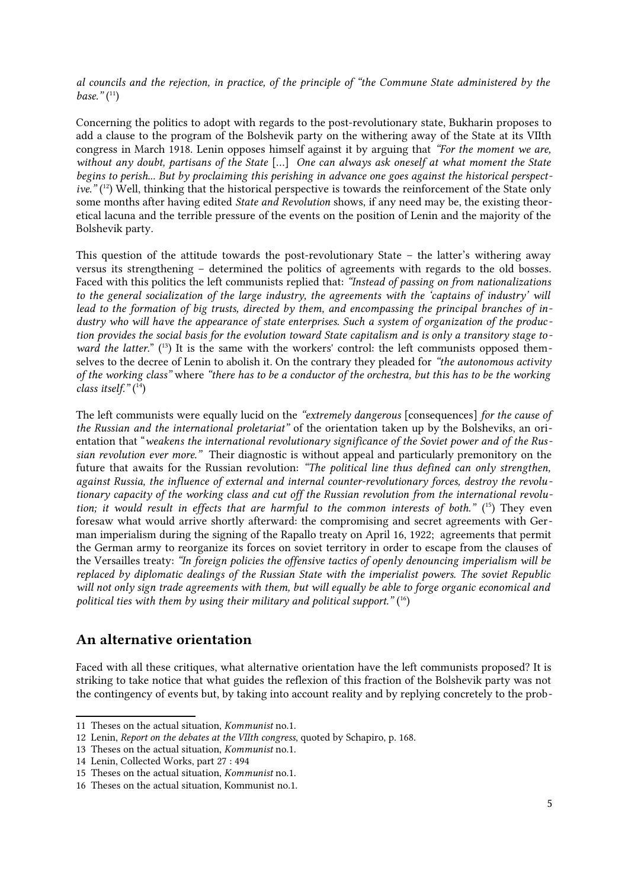al councils and the rejection, in practice, of the principle of "the Commune State administered by the  $base.$ "( $11$ )

Concerning the politics to adopt with regards to the post-revolutionary state, Bukharin proposes to add a clause to the program of the Bolshevik party on the withering away of the State at its VIIth congress in March 1918. Lenin opposes himself against it by arguing that "For the moment we are, without any doubt, partisans of the State [...] One can always ask oneself at what moment the State begins to perish... But by proclaiming this perishing in advance one goes against the historical perspective."  $(1^2)$  Well, thinking that the historical perspective is towards the reinforcement of the State only some months after having edited State and Revolution shows, if any need may be, the existing theoretical lacuna and the terrible pressure of the events on the position of Lenin and the majority of the Bolshevik party.

This question of the attitude towards the post-revolutionary State – the latter's withering away versus its strengthening – determined the politics of agreements with regards to the old bosses. Faced with this politics the left communists replied that: "Instead of passing on from nationalizations to the general socialization of the large industry, the agreements with the 'captains of industry' will lead to the formation of big trusts, directed by them, and encompassing the principal branches of industry who will have the appearance of state enterprises. Such a system of organization of the production provides the social basis for the evolution toward State capitalism and is only a transitory stage to *ward the latter.*"  $^{(13)}$  $^{(13)}$  $^{(13)}$  It is the same with the workers' control: the left communists opposed themselves to the decree of Lenin to abolish it. On the contrary they pleaded for "the autonomous activity of the working class" where "there has to be a conductor of the orchestra, but this has to be the working class itself."  $(14)$  $(14)$  $(14)$ 

The left communists were equally lucid on the "extremely dangerous [consequences] for the cause of the Russian and the international proletariat" of the orientation taken up by the Bolsheviks, an orientation that "weakens the international revolutionary significance of the Soviet power and of the Russian revolution ever more." Their diagnostic is without appeal and particularly premonitory on the future that awaits for the Russian revolution: "The political line thus defined can only strengthen, against Russia, the influence of external and internal counter-revolutionary forces, destroy the revolutionary capacity of the working class and cut off the Russian revolution from the international revolution; it would result in effects that are harmful to the common interests of both."  $(15)$  $(15)$  $(15)$  They even foresaw what would arrive shortly afterward: the compromising and secret agreements with German imperialism during the signing of the Rapallo treaty on April 16, 1922; agreements that permit the German army to reorganize its forces on soviet territory in order to escape from the clauses of the Versailles treaty: "In foreign policies the offensive tactics of openly denouncing imperialism will be replaced by diplomatic dealings of the Russian State with the imperialist powers. The soviet Republic will not only sign trade agreements with them, but will equally be able to forge organic economical and political ties with them by using their military and political support."  $(16)$  $(16)$  $(16)$ 

#### An alternative orientation

Faced with all these critiques, what alternative orientation have the left communists proposed? It is striking to take notice that what guides the reflexion of this fraction of the Bolshevik party was not the contingency of events but, by taking into account reality and by replying concretely to the prob-

<span id="page-3-0"></span><sup>11</sup> Theses on the actual situation, Kommunist no.1.

<span id="page-3-1"></span><sup>12</sup> Lenin, Report on the debates at the VIIth congress, quoted by Schapiro, p. 168.

<span id="page-3-2"></span><sup>13</sup> Theses on the actual situation, Kommunist no.1.

<span id="page-3-3"></span><sup>14</sup> Lenin, Collected Works, part 27 : 494

<span id="page-3-4"></span><sup>15</sup> Theses on the actual situation, Kommunist no.1.

<span id="page-3-5"></span><sup>16</sup> Theses on the actual situation, Kommunist no.1.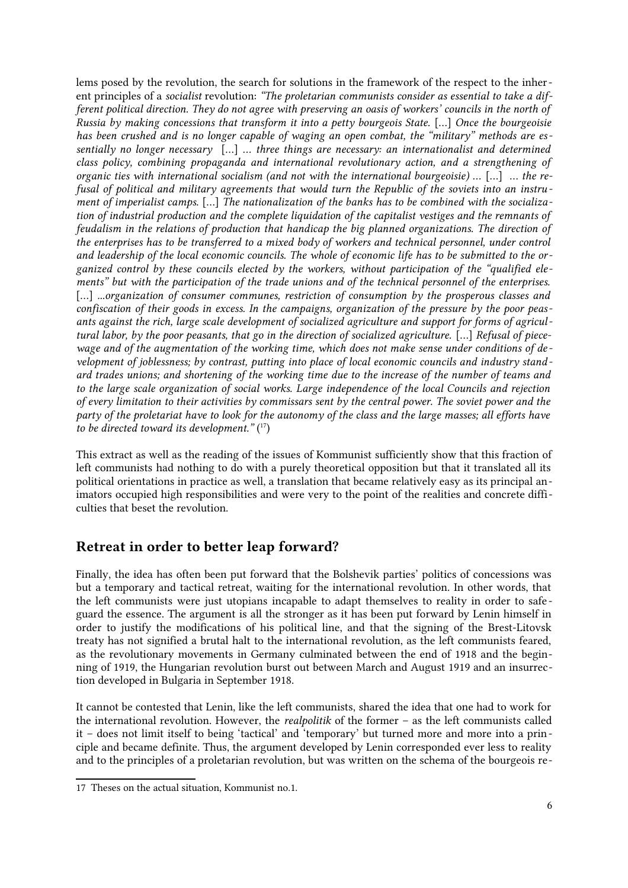lems posed by the revolution, the search for solutions in the framework of the respect to the inherent principles of a socialist revolution: "The proletarian communists consider as essential to take a different political direction. They do not agree with preserving an oasis of workers' councils in the north of Russia by making concessions that transform it into a petty bourgeois State. […] Once the bourgeoisie has been crushed and is no longer capable of waging an open combat, the "military" methods are essentially no longer necessary [...] ... three things are necessary: an internationalist and determined class policy, combining propaganda and international revolutionary action, and a strengthening of organic ties with international socialism (and not with the international bourgeoisie) … […] … the refusal of political and military agreements that would turn the Republic of the soviets into an instrument of imperialist camps. […] The nationalization of the banks has to be combined with the socialization of industrial production and the complete liquidation of the capitalist vestiges and the remnants of feudalism in the relations of production that handicap the big planned organizations. The direction of the enterprises has to be transferred to a mixed body of workers and technical personnel, under control and leadership of the local economic councils. The whole of economic life has to be submitted to the organized control by these councils elected by the workers, without participation of the "qualified elements" but with the participation of the trade unions and of the technical personnel of the enterprises. [...] ...organization of consumer communes, restriction of consumption by the prosperous classes and confiscation of their goods in excess. In the campaigns, organization of the pressure by the poor peasants against the rich, large scale development of socialized agriculture and support for forms of agricultural labor, by the poor peasants, that go in the direction of socialized agriculture. […] Refusal of piecewage and of the augmentation of the working time, which does not make sense under conditions of development of joblessness; by contrast, putting into place of local economic councils and industry stand ard trades unions; and shortening of the working time due to the increase of the number of teams and to the large scale organization of social works. Large independence of the local Councils and rejection of every limitation to their activities by commissars sent by the central power. The soviet power and the party of the proletariat have to look for the autonomy of the class and the large masses; all efforts have to be directed toward its development."  $(^{17})$  $(^{17})$  $(^{17})$ 

This extract as well as the reading of the issues of Kommunist sufficiently show that this fraction of left communists had nothing to do with a purely theoretical opposition but that it translated all its political orientations in practice as well, a translation that became relatively easy as its principal animators occupied high responsibilities and were very to the point of the realities and concrete difficulties that beset the revolution.

#### Retreat in order to better leap forward?

Finally, the idea has often been put forward that the Bolshevik parties' politics of concessions was but a temporary and tactical retreat, waiting for the international revolution. In other words, that the left communists were just utopians incapable to adapt themselves to reality in order to safe guard the essence. The argument is all the stronger as it has been put forward by Lenin himself in order to justify the modifications of his political line, and that the signing of the Brest-Litovsk treaty has not signified a brutal halt to the international revolution, as the left communists feared, as the revolutionary movements in Germany culminated between the end of 1918 and the beginning of 1919, the Hungarian revolution burst out between March and August 1919 and an insurrection developed in Bulgaria in September 1918.

It cannot be contested that Lenin, like the left communists, shared the idea that one had to work for the international revolution. However, the realpolitik of the former – as the left communists called it – does not limit itself to being 'tactical' and 'temporary' but turned more and more into a principle and became definite. Thus, the argument developed by Lenin corresponded ever less to reality and to the principles of a proletarian revolution, but was written on the schema of the bourgeois re-

<span id="page-4-0"></span><sup>17</sup> Theses on the actual situation, Kommunist no.1.